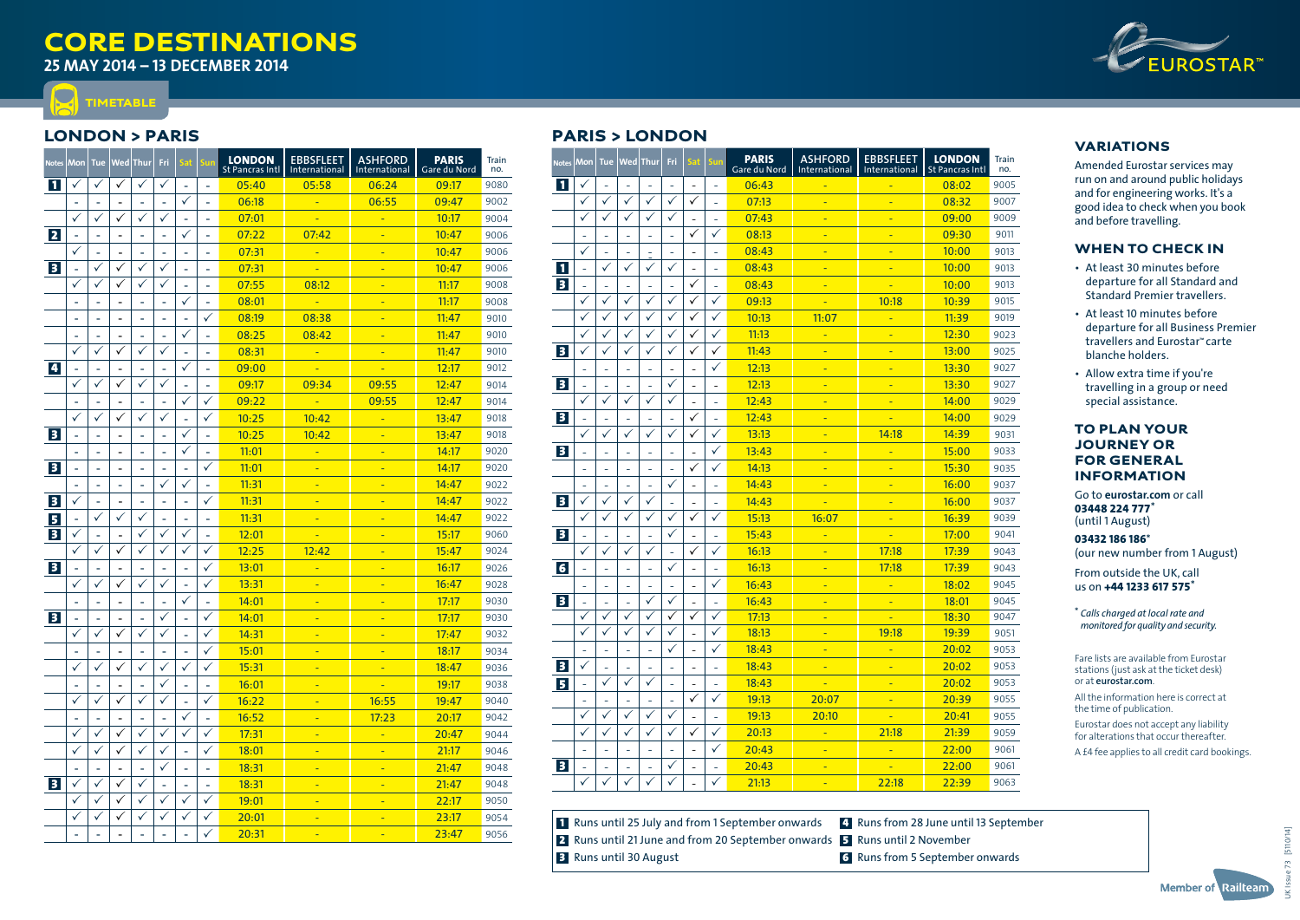# **CORE DESTINATIONS**

**25 May 2014 – 13 december 2014**



## London > Paris

**IMETABLE** 

 $\Box$ 

| <b>Notes</b>            | Mon          | <b>Tue</b>   |                          | Wed Thur                 | Fri                      | Sat          | Sun                      | <b>LONDON</b><br>St Pancras Intl | <b>EBBSFLEET</b><br>International | <b>ASHFORD</b><br>International | <b>PARIS</b><br>Gare du Nord | Train<br>no. |
|-------------------------|--------------|--------------|--------------------------|--------------------------|--------------------------|--------------|--------------------------|----------------------------------|-----------------------------------|---------------------------------|------------------------------|--------------|
| $\mathbf{1}$            | ✓            | ✓            | ✓                        | ✓                        | $\checkmark$             | ÷.           | ä,                       | 05:40                            | 05:58                             | 06:24                           | 09:17                        | 9080         |
|                         |              | ä,           |                          | ÷                        |                          | ✓            | ÷,                       | 06:18                            | ÷                                 | 06:55                           | 09:47                        | 9002         |
|                         | $\checkmark$ | ✓            | ✓                        | ✓                        | ✓                        |              |                          | 07:01                            |                                   | L,                              | 10:17                        | 9004         |
| $\overline{2}$          | ÷,           | ÷.           | $\blacksquare$           | ä,                       | ÷.                       | ✓            | ÷.                       | 07:22                            | 07:42                             |                                 | 10:47                        | 9006         |
|                         | $\checkmark$ | L.           | ä,                       | Ĭ.                       | ÷.                       | Ē.           | ÷.                       | 07:31                            | L,                                | L,                              | 10:47                        | 9006         |
| $\overline{\mathbf{3}}$ | ÷,           | ✓            | ✓                        | ✓                        | $\checkmark$             | ÷            | $\overline{\phantom{a}}$ | 07:31                            | L.                                | Ξ                               | 10:47                        | 9006         |
|                         | ✓            | ✓            | $\checkmark$             | ✓                        | $\checkmark$             |              | ÷                        | 07:55                            | 08:12                             | ۳                               | 11:17                        | 9008         |
|                         |              |              | $\overline{\phantom{a}}$ | ä,                       | ÷,                       | ✓            | ä,                       | 08:01                            | u,                                | ÷                               | 11:17                        | 9008         |
|                         |              |              | L.                       | ä,                       |                          |              | ✓                        | 08:19                            | 08:38                             | Ξ                               | 11:47                        | 9010         |
|                         |              |              |                          | L,                       |                          | ✓            | ä,                       | 08:25                            | 08:42                             | L,                              | 11:47                        | 9010         |
|                         | ✓            | ✓            | ✓                        | $\checkmark$             | ✓                        | ä,           | ä,                       | 08:31                            | L,                                | Ξ                               | 11:47                        | 9010         |
| $\overline{\mathbf{4}}$ | ÷,           | ä,           | $\overline{a}$           | ÷                        | ÷                        | ✓            | ÷,                       | 09:00                            | ÷                                 | Ξ                               | 12:17                        | 9012         |
|                         | ✓            | ✓            | ✓                        | ✓                        | ✓                        |              |                          | 09:17                            | 09:34                             | 09:55                           | 12:47                        | 9014         |
|                         |              |              | $\blacksquare$           | ä,                       | ٠                        | ✓            | ✓                        | 09:22                            | u                                 | 09:55                           | 12:47                        | 9014         |
|                         | ✓            | ✓            | ✓                        | $\checkmark$             | $\checkmark$             |              | ✓                        | 10:25                            | 10:42                             |                                 | 13:47                        | 9018         |
| $\overline{\mathbf{3}}$ | ÷,           | ä,           | $\overline{\phantom{a}}$ | $\overline{\phantom{a}}$ | $\overline{\phantom{a}}$ | ✓            | $\overline{\phantom{a}}$ | 10:25                            | 10:42                             | Ξ                               | 13:47                        | 9018         |
|                         | ۰            | ۰            | $\overline{a}$           | ÷                        | ÷,                       | ✓            | ÷                        | 11:01                            | ÷                                 | ÷                               | 14:17                        | 9020         |
| $\overline{\mathbf{3}}$ | L,           |              | $\overline{\phantom{a}}$ | ä,                       |                          | ٠            | ✓                        | 11:01                            | Ξ                                 | ÷                               | 14:17                        | 9020         |
|                         |              |              | L.                       | ä,                       | ✓                        | ✓            | ٠                        | 11:31                            | Ξ                                 |                                 | 14:47                        | 9022         |
| $\overline{\mathbf{3}}$ | $\checkmark$ |              | $\overline{a}$           | L,                       | ä,                       | ä,           | ✓                        | 11:31                            | Ξ                                 |                                 | 14:47                        | 9022         |
| 5                       | ä,           | ✓            | ✓                        | ✓                        | ä,                       | ä,           | ä,                       | 11:31                            | Ξ                                 | L,                              | 14:47                        | 9022         |
| $\overline{\mathbf{3}}$ | ✓            | ÷.           | ÷                        | ✓                        | ✓                        | ✓            | ä,                       | 12:01                            |                                   | ÷                               | 15:17                        | 9060         |
|                         | $\checkmark$ | ✓            | ✓                        | ✓                        | ✓                        | ✓            | ✓                        | 12:25                            | 12:42                             | L,                              | 15:47                        | 9024         |
| $\overline{\mathbf{3}}$ |              |              |                          | ä,                       | ÷.                       | ٠            | ✓                        | 13:01                            | Ξ                                 | ۳                               | 16:17                        | 9026         |
|                         | $\checkmark$ | ✓            | $\checkmark$             | ✓                        | ✓                        |              | ✓                        | 13:31                            | Ξ                                 |                                 | 16:47                        | 9028         |
|                         | ä,           | ÷.           | $\overline{\phantom{a}}$ | ä,                       | ä,                       | ✓            | ä,                       | 14:01                            | ä,                                | ۳                               | 17:17                        | 9030         |
| $\overline{\mathbf{3}}$ | ÷            | ä,           | ÷,                       | ÷,                       | ✓                        | ÷,           | ✓                        | 14:01                            | ÷                                 | ۳                               | 17:17                        | 9030         |
|                         | ✓            | ✓            | ✓                        | ✓                        | $\checkmark$             |              | $\checkmark$             | 14:31                            | ä,                                | ÷                               | 17:47                        | 9032         |
|                         |              |              | $\blacksquare$           | ÷,                       | ٠                        | ÷.           | $\checkmark$             | 15:01                            | Ξ                                 | Ξ                               | 18:17                        | 9034         |
|                         | ✓            | ✓            | ✓                        | ✓                        | ✓                        | ✓            | ✓                        | 15:31                            | Ξ                                 | Ξ                               | 18:47                        | 9036         |
|                         | ä,           | ä,           | $\overline{\phantom{a}}$ | ä,                       | ✓                        | ä,           | ä,                       | 16:01                            | ä,                                | u                               | 19:17                        | 9038         |
|                         | ✓            | ✓            | ✓                        | ✓                        | $\checkmark$             | L.           | ✓                        | 16:22                            | Ξ                                 | 16:55                           | 19:47                        | 9040         |
|                         |              |              | ä,                       | L,                       | ä,                       | ✓            | L,                       | 16:52                            | Ξ                                 | 17:23                           | 20:17                        | 9042         |
|                         | ✓            | ✓            | $\checkmark$             | ✓                        | ✓                        | ✓            | ✓                        | 17:31                            | u                                 | ı.                              | 20:47                        | 9044         |
|                         | $\checkmark$ | $\checkmark$ | $\checkmark$             | ✓                        | ✓                        | ä,           | ✓                        | 18:01                            | Ξ                                 |                                 | 21:17                        | 9046         |
|                         | ä,           | ä,           | ÷,                       | ä,                       | ✓                        | ä,           | ä,                       | 18:31                            | ä,                                | ÷                               | 21:47                        | 9048         |
| $\overline{\mathbf{3}}$ | ✓            | ✓            | ✓                        | ✓                        | ÷                        | ٠            | ٠                        | 18:31                            | ÷                                 | ÷                               | 21:47                        | 9048         |
|                         |              |              |                          | ✓                        |                          |              |                          | 19:01                            | u                                 |                                 | 22:17                        | 9050         |
|                         | $\checkmark$ | ✓            | $\checkmark$             | ✓                        | $\checkmark$             | $\checkmark$ | $\checkmark$             | 20:01                            | ä,                                | ۳                               | 23:17                        | 9054         |
|                         |              |              |                          | ÷                        |                          |              | ✓                        | 20:31                            |                                   |                                 | 23:47                        | 9056         |

# Paris > London

| <b>Notes</b>            | Mon                      | <b>Tue</b>               | Wed            | Thur         | Fri                      | Sat                      | sun          | <b>PARIS</b><br>Gare du Nord | <b>ASHFORD</b><br>International | <b>EBBSFLEET</b><br>International | <b>LONDON</b><br><b>St Pancras Intl</b> | Train<br>no. |
|-------------------------|--------------------------|--------------------------|----------------|--------------|--------------------------|--------------------------|--------------|------------------------------|---------------------------------|-----------------------------------|-----------------------------------------|--------------|
| $\mathbf{1}$            | ✓                        | L,                       |                | L,           | L,                       | ÷,                       | ÷,           | 06:43                        |                                 |                                   | 08:02                                   | 9005         |
|                         | $\checkmark$             | ✓                        | ✓              | ✓            | ✓                        | ✓                        | L,           | 07:13                        | ä,                              | Ξ                                 | 08:32                                   | 9007         |
|                         | ✓                        | $\checkmark$             | $\checkmark$   | ✓            | ✓                        | $\overline{\phantom{0}}$ | L,           | 07:43                        | Ξ                               | ٠                                 | 09:00                                   | 9009         |
|                         | $\overline{\phantom{a}}$ | ÷,                       | ä,             | ۰            | ÷,                       | ✓                        | ✓            | 08:13                        | ۳                               | ٠                                 | 09:30                                   | 9011         |
|                         | ✓                        | $\overline{\phantom{a}}$ |                | ٠            | $\overline{\phantom{a}}$ | $\overline{\phantom{a}}$ | L,           | 08:43                        | ۳                               | ٠                                 | 10:00                                   | 9013         |
| $\mathbf{1}$            | ÷                        | ✓                        |                |              | ✓                        | -                        |              | 08:43                        | ٠                               | ٠                                 | 10:00                                   | 9013         |
| $\overline{\mathbf{3}}$ | L,                       | L.                       |                |              | L,                       | ✓                        |              | 08:43                        | ۳                               | L,                                | 10:00                                   | 9013         |
|                         | $\checkmark$             | ✓                        | $\checkmark$   | ✓            | ✓                        | ✓                        | ✓            | 09:13                        | u                               | 10:18                             | 10:39                                   | 9015         |
|                         | $\checkmark$             | ✓                        | ✓              | ✓            | ✓                        | ✓                        | ✓            | 10:13                        | 11:07                           | ٠                                 | 11:39                                   | 9019         |
|                         | $\checkmark$             | ✓                        | ✓              | ✓            | ✓                        | ✓                        | ✓            | 11:13                        |                                 |                                   | 12:30                                   | 9023         |
| $\overline{\mathbf{3}}$ | $\checkmark$             | $\checkmark$             | $\checkmark$   | ✓            | $\checkmark$             | $\checkmark$             | $\checkmark$ | 11:43                        | Ξ                               | ÷                                 | 13:00                                   | 9025         |
|                         | L,                       | L.                       | L.             | L.           | ÷,                       | $\overline{a}$           | ✓            | 12:13                        | ۳                               | ÷                                 | 13:30                                   | 9027         |
| $\overline{\mathbf{3}}$ | L,                       | L.                       |                | L,           | ✓                        | ÷,                       | ÷,           | 12:13                        | Ξ                               | ٠                                 | 13:30                                   | 9027         |
|                         | ✓                        | ✓                        | ✓              | ✓            | ✓                        | $\overline{\phantom{a}}$ | L.           | 12:43                        | u                               | ٠                                 | 14:00                                   | 9029         |
| $\overline{\mathbf{3}}$ | ÷,                       | L,                       | $\overline{a}$ | ۰            | ÷,                       | ✓                        | L,           | 12:43                        | ٠                               | ۳                                 | 14:00                                   | 9029         |
|                         | ✓                        | ✓                        |                |              | ✓                        | ✓                        | ✓            | 13:13                        | ۳                               | 14:18                             | 14:39                                   | 9031         |
| $\overline{\mathbf{3}}$ |                          |                          |                |              |                          |                          | ✓            | 13:43                        | ٠                               | ٠                                 | 15:00                                   | 9033         |
|                         | L,                       | L,                       |                |              | L,                       | ✓                        | ✓            | 14:13                        | ÷                               | ٠                                 | 15:30                                   | 9035         |
|                         |                          | L,                       |                |              | ✓                        | ۳                        |              | 14:43                        | ۳                               | Ξ                                 | 16:00                                   | 9037         |
| $\overline{\mathbf{3}}$ | ✓                        | ✓                        | ✓              | ✓            | L,                       | ÷,                       | L.           | 14:43                        |                                 | ٠                                 | 16:00                                   | 9037         |
|                         | ✓                        | ✓                        | ✓              | ✓            | ✓                        | ✓                        | ✓            | 15:13                        | 16:07                           |                                   | 16:39                                   | 9039         |
| $\overline{\mathbf{3}}$ | L,                       | i,                       |                | L,           | $\checkmark$             | $\overline{a}$           | ÷,           | 15:43                        | Ξ                               |                                   | 17:00                                   | 9041         |
|                         | $\checkmark$             | ✓                        | ✓              | ✓            | L,                       | ✓                        | ✓            | 16:13                        | Ξ                               | 17:18                             | 17:39                                   | 9043         |
| $6\overline{6}$         | L,                       | L.                       |                | L.           | $\checkmark$             | ÷,                       | L,           | 16:13                        | Ξ                               | 17:18                             | 17:39                                   | 9043         |
|                         | ÷,                       | ÷,                       | $\equiv$       | ä,           | ä,                       | ÷,                       | ✓            | 16:43                        | u                               | ÷                                 | 18:02                                   | 9045         |
| <b>B</b>                | L,                       | L,                       | L,             | ✓            | ✓                        | $\overline{\phantom{a}}$ | L,           | 16:43                        | ÷                               | Ξ                                 | 18:01                                   | 9045         |
|                         | ✓                        | ✓                        | ✓              | ✓            | ✓                        | ✓                        | ✓            | 17:13                        | ۳                               |                                   | 18:30                                   | 9047         |
|                         | $\checkmark$             | ✓                        | $\checkmark$   | ✓            | $\checkmark$             | ۳                        | $\checkmark$ | 18:13                        | ٠                               | 19:18                             | 19:39                                   | 9051         |
|                         | ÷,                       | ÷,                       | L.             | ÷,           | ✓                        | $\overline{\phantom{a}}$ | ✓            | 18:43                        | Ξ                               |                                   | 20:02                                   | 9053         |
| $\overline{\mathbf{3}}$ | $\checkmark$             | L,                       |                |              | L,                       | ÷,                       | ÷,           | 18:43                        | Ξ                               | Ξ                                 | 20:02                                   | 9053         |
| 5 <sup>5</sup>          |                          | ✓                        | $\checkmark$   | ✓            |                          |                          |              | 18:43                        | u                               | ÷                                 | 20:02                                   | 9053         |
|                         | L.                       | L.                       |                | ÷,           | L.                       | ✓                        | ✓            | 19:13                        | 20:07                           | ÷                                 | 20:39                                   | 9055         |
|                         | $\checkmark$             | ✓                        | ✓              | ✓            | ✓                        | $\overline{a}$           | L,           | 19:13                        | 20:10                           | ٠                                 | 20:41                                   | 9055         |
|                         | ✓                        | ✓                        | ✓              | ✓            | $\checkmark$             | ✓                        | ✓            | 20:13                        | ۳                               | 21:18                             | 21:39                                   | 9059         |
|                         | ٠                        | ٠                        |                | ٠            | ٠                        | $\qquad \qquad -$        | ✓            | 20:43                        | ٠                               | ٠                                 | 22:00                                   | 9061         |
| $\overline{\mathbf{3}}$ | L                        |                          |                |              | $\checkmark$             |                          | ä,           | 20:43                        | ۳                               |                                   | 22:00                                   | 9061         |
|                         |                          | ✓                        |                | $\checkmark$ | $\checkmark$             |                          | ✓            | 21:13                        |                                 | 22:18                             | 22:39                                   | 9063         |

## **1** Runs until 25 July and from 1 September onwards 2 Runs until 21 June and from 20 September onwards 5 Runs until 2 November **B** Runs until 30 August

4 Runs from 28 June until 13 September 6 Runs from 5 September onwards

### VARIATIONS

Amended Eurostar services may run on and around public holidays and for engineering works. It's a good idea to check when you book and before travelling.

### When to check in

- At least 30 minutes before departure for all Standard and Standard Premier travellers.
- At least 10 minutes before departure for all Business Premier travellers and Eurostar™ carte blanche holders.
- Allow extra time if you're travelling in a group or need special assistance.

### To plan your journey or for general information

Go to **eurostar.com** or call **03448 224 777**\* (until 1 August)

**03432 186 186**\* (our new number from 1 August)

From outside the UK, call us on **+44 1233 617 575**\*

\* *Calls charged at local rate and monitored for quality and security.* 

Fare lists are available from Eurostar stations (just ask at the ticket desk) or at **eurostar.com**.

All the information here is correct at the time of publication.

Eurostar does not accept any liability for alterations that occur thereafter.

A £4 fee applies to all credit card bookings.